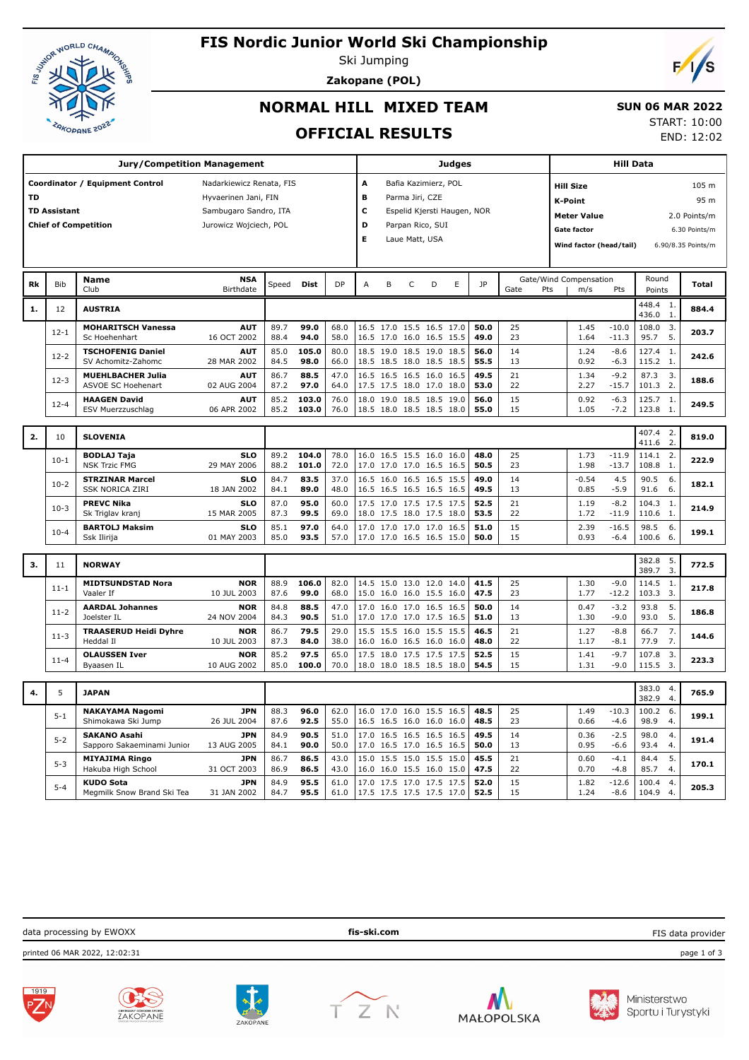

Bib **Name**

Sc Hoehenhart

**TSCHOFENIG Daniel** SV Achomitz-Zahomc

**MUEHLBACHER Julia** ASVOE SC Hoehenart

**HAAGEN David** ESV Muerzzuschlag

### **FIS Nordic Junior World Ski Championship**

Ski Jumping

**Zakopane (POL)**



### **NORMAL HILL MIXED TEAM**

#### **SUN 06 MAR 2022**

START: 10:00

**OFFICIAL RESULTS** END: 12:02 **Jury/Competition Management Coordinator / Equipment Control Madarkiewicz Renata, FIS TD** Hyvaerinen Jani, FIN **TD Assistant** Sambugaro Sandro, ITA **Chief of Competition** Jurowicz Wojciech, POL **Judges A** Bafia Kazimierz, POL **B** Parma Jiri, CZE **C** Espelid Kjersti Haugen, NOR **D** Parpan Rico, SUI **E** Laue Matt, USA **Hill Data K-Point** 95 m **Hill Size** 105 m **Meter Value** 2.0 Points/m **Gate factor** 6.30 Points/m **Wind factor (head/tail)** 6.90/8.35 Points/m Birthdate **NSA** Speed **Dist** DP A B C D E JP **Cate/Wind Compensation** Round **Total** Round Points Gate Pts m/s Pts **Rk 1.** <sup>12</sup> **AUSTRIA** 448.4 436.0 1. 1. **884.4 MOHARITSCH Vanessa AUT** 16 OCT 2002 12-1 89.7 68.0 16.5 15.5 16.5 17.0 **50.0** 108.0 **88.4 <b>94.0** | 58.0 | 16.5 17.0 16.0 16.5 15.5 | **49.0** | 23 | 1.64 -11.3 | 95.7 5. 25 1.45 -10.0 108.0 3. **203.7**  23 1.64 -11.3 **99.0** 68.0 16.5 17.0 15.5 16.5 17.0 **AUT** 28 MAR 2002 12-2 85.0 80.0 18.5 18.5 19.0 18.5 **56.0** 127.4 **98.0** | 66.0 | 18.5 18.5 18.0 18.5 | **55.5** | 13 | 0.92 -6.3 | 115.2 1.  $\begin{array}{c|ccccc}\n 1.4 & 1.24 & -8.6 & 127.4 & 1. & 242.6 \\
1.3 & 0.92 & -6.3 & 115.2 & 1. & 242.6\n\end{array}$  $-6.3$ **105.0** 80.0 18.5 19.0 18.5 19.0 18.5 **AUT**<br>02 AUG 2004 02 AUG 2004 12-3 86.7 47.0 16.5 16.5 16.0 16.5 **49.5** 87.3 87.2 **97.0** | 64.0 |17.5 17.5 18.0 17.0 18.0 | **53.0** | 22 | 2.27 -15.7 | 101.3 2. 21 1.34 -9.2 87.3 3. **188.6**  22 2.27 -15.7 **88.5** 47.0 16.5 16.5 16.5 16.0 16.5 **AUT**<br>06 APR 2002 12-4 **HAAGEN David 12-4 85.2 103.0** 18.0 19.0 18.5 18.5 19.0 **56.0** 15 10.92 -6.3 125.7 1.<br>12-4 ESV Muerzzuschlag 06 APR 2002 85.2 103.0 76.0 18.5 18.0 18.5 18.5 18.0 55.0 15 1.05 -7.2 123.8 1. 15 0.92 -6.3 125.7 1. **249.5**  15 1.05 -7.2 **103.0** 76.0 18.0 19.0 18.5 18.5 19.0 **103.0** 76.0 18.5 18.0 18.5 18.5 18.5 18.0 **2.** <sup>10</sup> **SLOVENIA** 407.4  $407.4$ 2. 2. **819.0**

|    |          |                                                   |                           |              |                |              |                                                      |              |          |                 |                    | 71.U                 | <u>.</u>               |       |
|----|----------|---------------------------------------------------|---------------------------|--------------|----------------|--------------|------------------------------------------------------|--------------|----------|-----------------|--------------------|----------------------|------------------------|-------|
|    | $10-1$   | <b>BODLAJ Taia</b><br><b>NSK Trzic FMG</b>        | <b>SLO</b><br>29 MAY 2006 | 89.2<br>88.2 | 104.0<br>101.0 | 78.0<br>72.0 | 16.0 16.5 15.5 16.0 16.0<br>17.0 17.0 17.0 16.5 16.5 | 48.0<br>50.5 | 25<br>23 | 1.73<br>1.98    | $-11.9$<br>$-13.7$ | 114.1 2.<br>108.8    | -1.                    | 222.9 |
|    | $10-2$   | <b>STRZINAR Marcel</b><br><b>SSK NORICA ZIRI</b>  | <b>SLO</b><br>18 JAN 2002 | 84.7<br>84.1 | 83.5<br>89.0   | 37.0<br>48.0 | 16.5 16.0 16.5 16.5 15.5<br>16.5 16.5 16.5 16.5 16.5 | 49.0<br>49.5 | 14<br>13 | $-0.54$<br>0.85 | 4.5<br>$-5.9$      | 90.5<br>91.6         | 6.<br>6.               | 182.1 |
|    | $10-3$   | <b>PREVC Nika</b><br>Sk Triglav kranj             | <b>SLO</b><br>15 MAR 2005 | 87.0<br>87.3 | 95.0<br>99.5   | 60.0<br>69.0 | 17.5 17.0 17.5 17.5 17.5<br>18.0 17.5 18.0 17.5 18.0 | 52.5<br>53.5 | 21<br>22 | 1.19<br>1.72    | $-8.2$<br>$-11.9$  | 104.3 1.<br>110.6    | $\overline{1}$ .       | 214.9 |
|    | $10-4$   | <b>BARTOLJ Maksim</b><br>Ssk Ilirija              | <b>SLO</b><br>01 MAY 2003 | 85.1<br>85.0 | 97.0<br>93.5   | 64.0<br>57.0 | 17.0 17.0 17.0 17.0 16.5<br>17.0 17.0 16.5 16.5 15.0 | 51.0<br>50.0 | 15<br>15 | 2.39<br>0.93    | $-16.5$<br>$-6.4$  | 98.5<br>100.6        | 6.<br>6.               | 199.1 |
| 3. | 11       | <b>NORWAY</b>                                     |                           |              |                |              |                                                      |              |          |                 |                    | 382.8<br>389.7       | 5.<br>$\overline{3}$ . | 772.5 |
|    | $11 - 1$ | <b>MIDTSUNDSTAD Nora</b><br>Vaaler If             | <b>NOR</b><br>10 JUL 2003 | 88.9<br>87.6 | 106.0<br>99.0  | 82.0<br>68.0 | 14.5 15.0 13.0 12.0 14.0<br>15.0 16.0 16.0 15.5 16.0 | 41.5<br>47.5 | 25<br>23 | 1.30<br>1.77    | $-9.0$<br>$-12.2$  | 114.5 1.<br>103.3 3. |                        | 217.8 |
|    | $11-2$   | <b>AARDAL Johannes</b><br>Joelster IL             | <b>NOR</b><br>24 NOV 2004 | 84.8<br>84.3 | 88.5<br>90.5   | 47.0<br>51.0 | 17.0 16.0 17.0 16.5 16.5<br>17.0 17.0 17.0 17.5 16.5 | 50.0<br>51.0 | 14<br>13 | 0.47<br>1.30    | $-3.2$<br>$-9.0$   | 93.8<br>93.0         | 5.<br>5.               | 186.8 |
|    | $11-3$   | <b>TRAASERUD Heidi Dyhre</b><br>Heddal II         | <b>NOR</b><br>10 JUL 2003 | 86.7<br>87.3 | 79.5<br>84.0   | 29.0<br>38.0 | 15.5 15.5 16.0 15.5 15.5<br>16.0 16.0 16.5 16.0 16.0 | 46.5<br>48.0 | 21<br>22 | 1.27<br>1.17    | $-8.8$<br>$-8.1$   | 66.7<br>77.9         | 7.<br>7.               | 144.6 |
|    | $11 - 4$ | <b>OLAUSSEN Iver</b><br>Byaasen IL                | <b>NOR</b><br>10 AUG 2002 | 85.2<br>85.0 | 97.5<br>100.0  | 65.0<br>70.0 | 17.5 18.0 17.5 17.5 17.5<br>18.0 18.0 18.5 18.5 18.0 | 52.5<br>54.5 | 15<br>15 | 1.41<br>1.31    | $-9.7$<br>$-9.0$   | 107.8 3.<br>115.5    | 3.                     | 223.3 |
| 4. | 5        | <b>JAPAN</b>                                      |                           |              |                |              |                                                      |              |          |                 |                    | 383.0 4.<br>382.9    | $\overline{4}$         | 765.9 |
|    | $5 - 1$  | <b>NAKAYAMA Nagomi</b><br>Shimokawa Ski Jump      | <b>JPN</b><br>26 JUL 2004 | 88.3<br>87.6 | 96.0<br>92.5   | 62.0<br>55.0 | 16.0 17.0 16.0 15.5 16.5<br>16.5 16.5 16.0 16.0 16.0 | 48.5<br>48.5 | 25<br>23 | 1.49<br>0.66    | $-10.3$<br>$-4.6$  | 100.2 6.<br>98.9     | 4.                     | 199.1 |
|    | $5 - 2$  | <b>SAKANO Asahi</b><br>Sapporo Sakaeminami Junior | <b>JPN</b><br>13 AUG 2005 | 84.9<br>84.1 | 90.5<br>90.0   | 51.0<br>50.0 | 17.0 16.5 16.5 16.5 16.5<br>17.0 16.5 17.0 16.5 16.5 | 49.5<br>50.0 | 14<br>13 | 0.36<br>0.95    | $-2.5$<br>$-6.6$   | 98.0<br>93.4         | $\overline{4}$ .<br>4. | 191.4 |
|    | $5 - 3$  | <b>MIYAJIMA Ringo</b><br>Hakuba High School       | <b>JPN</b><br>31 OCT 2003 | 86.7<br>86.9 | 86.5<br>86.5   | 43.0<br>43.0 | 15.0 15.5 15.0 15.5 15.0<br>16.0 16.0 15.5 16.0 15.0 | 45.5<br>47.5 | 21<br>22 | 0.60<br>0.70    | $-4.1$<br>$-4.8$   | 84.4<br>85.7         | 5.<br>4.               | 170.1 |
|    | $5 - 4$  | <b>KUDO Sota</b><br>Meamilk Snow Brand Ski Tea    | <b>JPN</b><br>31 JAN 2002 | 84.9<br>84.7 | 95.5<br>95.5   | 61.0<br>61.0 | 17.0 17.5 17.0 17.5 17.5<br>17.5 17.5 17.5 17.5 17.0 | 52.0<br>52.5 | 15<br>15 | 1.82<br>1.24    | $-12.6$<br>$-8.6$  | 100.4 4.<br>104.9 4. |                        | 205.3 |

| data processing by EWOXX      | fis-ski.com | FIS data provider |
|-------------------------------|-------------|-------------------|
| printed 06 MAR 2022, 12:02:31 |             | page 1 of 3       |
|                               |             |                   |











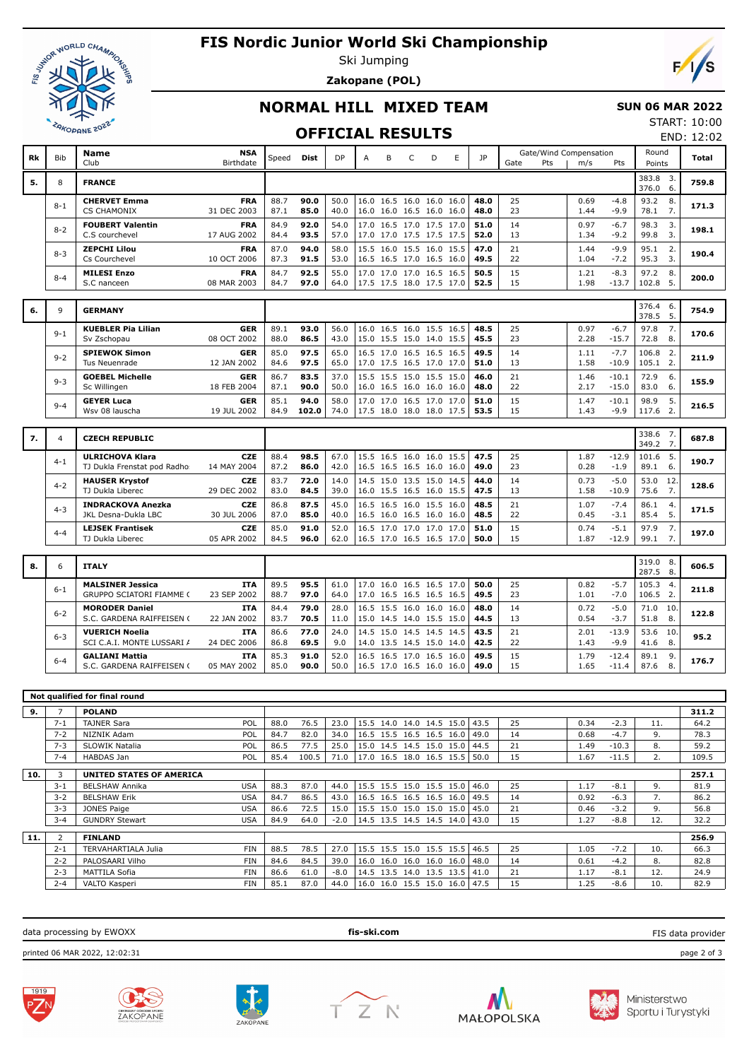

## **FIS Nordic Junior World Ski Championship**

Ski Jumping

**Zakopane (POL)**



### **NORMAL HILL MIXED TEAM**

#### **SUN 06 MAR 2022**

### **OFFICIAL RESULTS**

START: 10:00 END: 12:02

| Rk | <b>Bib</b> | <b>Name</b><br>Club                                        | <b>NSA</b><br>Birthdate   | Speed        | Dist          | DP           | A | B                                                    | C | D | E | JP           | Gate     | Pts | Gate/Wind Compensation<br>m/s | <b>Pts</b>         | Round<br>Points   |                        | <b>Total</b> |
|----|------------|------------------------------------------------------------|---------------------------|--------------|---------------|--------------|---|------------------------------------------------------|---|---|---|--------------|----------|-----|-------------------------------|--------------------|-------------------|------------------------|--------------|
| 5. | 8          | <b>FRANCE</b>                                              |                           |              |               |              |   |                                                      |   |   |   |              |          |     |                               |                    | 383.8 3.<br>376.0 | 6.                     | 759.8        |
|    | $8 - 1$    | <b>CHERVET Emma</b><br><b>CS CHAMONIX</b>                  | <b>FRA</b><br>31 DEC 2003 | 88.7<br>87.1 | 90.0<br>85.0  | 50.0<br>40.0 |   | 16.0 16.5 16.0 16.0 16.0<br>16.0 16.0 16.5 16.0 16.0 |   |   |   | 48.0<br>48.0 | 25<br>23 |     | 0.69<br>1.44                  | $-4.8$<br>$-9.9$   | 93.2<br>78.1      | 8.<br>7.               | 171.3        |
|    | $8 - 2$    | <b>FOUBERT Valentin</b><br>C.S courchevel                  | <b>FRA</b><br>17 AUG 2002 | 84.9<br>84.4 | 92.0<br>93.5  | 54.0<br>57.0 |   | 17.0 16.5 17.0 17.5 17.0<br>17.0 17.0 17.5 17.5 17.5 |   |   |   | 51.0<br>52.0 | 14<br>13 |     | 0.97<br>1.34                  | $-6.7$<br>$-9.2$   | 98.3<br>99.8      | 3.<br>$\overline{3}$ . | 198.1        |
|    | $8 - 3$    | <b>ZEPCHI Lilou</b><br>Cs Courchevel                       | <b>FRA</b><br>10 OCT 2006 | 87.0<br>87.3 | 94.0<br>91.5  | 58.0<br>53.0 |   | 15.5 16.0 15.5 16.0 15.5<br>16.5 16.5 17.0 16.5 16.0 |   |   |   | 47.0<br>49.5 | 21<br>22 |     | 1.44<br>1.04                  | $-9.9$<br>$-7.2$   | 95.1<br>95.3      | 2.<br>3.               | 190.4        |
|    | $8 - 4$    | <b>MILESI Enzo</b><br>S.C nanceen                          | <b>FRA</b><br>08 MAR 2003 | 84.7<br>84.7 | 92.5<br>97.0  | 55.0<br>64.0 |   | 17.0 17.0 17.0 16.5 16.5<br>17.5 17.5 18.0 17.5 17.0 |   |   |   | 50.5<br>52.5 | 15<br>15 |     | 1.21<br>1.98                  | $-8.3$<br>$-13.7$  | 97.2<br>102.8     | 8.<br>5.               | 200.0        |
|    |            |                                                            |                           |              |               |              |   |                                                      |   |   |   |              |          |     |                               |                    | 376.4             | 6.                     |              |
| 6. | 9          | <b>GERMANY</b>                                             |                           |              |               |              |   |                                                      |   |   |   |              |          |     |                               |                    | 378.5             | 5.                     | 754.9        |
|    | $9 - 1$    | <b>KUEBLER Pia Lilian</b><br>Sv Zschopau                   | <b>GER</b><br>08 OCT 2002 | 89.1<br>88.0 | 93.0<br>86.5  | 56.0<br>43.0 |   | 16.0 16.5 16.0 15.5 16.5<br>15.0 15.5 15.0 14.0 15.5 |   |   |   | 48.5<br>45.5 | 25<br>23 |     | 0.97<br>2.28                  | $-6.7$<br>$-15.7$  | 97.8<br>72.8      | 7.<br>8.               | 170.6        |
|    | $9 - 2$    | <b>SPIEWOK Simon</b>                                       | <b>GER</b>                | 85.0         | 97.5          | 65.0         |   | 16.5 17.0 16.5 16.5 16.5                             |   |   |   | 49.5         | 14       |     | 1.11                          | $-7.7$             | 106.8             | 2.                     | 211.9        |
|    |            | Tus Neuenrade<br><b>GOEBEL Michelle</b>                    | 12 JAN 2002<br><b>GER</b> | 84.6<br>86.7 | 97.5<br>83.5  | 65.0<br>37.0 |   | 17.0 17.5 16.5 17.0 17.0<br>15.5 15.5 15.0 15.5 15.0 |   |   |   | 51.0<br>46.0 | 13<br>21 |     | 1.58<br>1.46                  | $-10.9$<br>$-10.1$ | 105.1<br>72.9     | 2.<br>6.               |              |
|    | $9 - 3$    | Sc Willingen                                               | 18 FEB 2004               | 87.1         | 90.0          | 50.0         |   | 16.0 16.5 16.0 16.0 16.0                             |   |   |   | 48.0         | 22       |     | 2.17                          | $-15.0$            | 83.0              | 6.                     | 155.9        |
|    | $9 - 4$    | <b>GEYER Luca</b><br>Wsv 08 lauscha                        | <b>GER</b><br>19 JUL 2002 | 85.1<br>84.9 | 94.0<br>102.0 | 58.0<br>74.0 |   | 17.0 17.0 16.5 17.0 17.0<br>17.5 18.0 18.0 18.0 17.5 |   |   |   | 51.0<br>53.5 | 15<br>15 |     | 1.47<br>1.43                  | $-10.1$<br>$-9.9$  | 98.9<br>117.6     | 5.<br>$\overline{2}$ . | 216.5        |
|    |            |                                                            |                           |              |               |              |   |                                                      |   |   |   |              |          |     |                               |                    |                   |                        |              |
| 7. | 4          | <b>CZECH REPUBLIC</b>                                      |                           |              |               |              |   |                                                      |   |   |   |              |          |     |                               |                    | 338.6<br>349.2    | 7.<br>7 <sub>1</sub>   | 687.8        |
|    | $4 - 1$    | <b>ULRICHOVA Klara</b><br>TJ Dukla Frenstat pod Radho:     | <b>CZE</b><br>14 MAY 2004 | 88.4<br>87.2 | 98.5<br>86.0  | 67.0<br>42.0 |   | 15.5 16.5 16.0 16.0 15.5<br>16.5 16.5 16.5 16.0 16.0 |   |   |   | 47.5<br>49.0 | 25<br>23 |     | 1.87<br>0.28                  | $-12.9$<br>$-1.9$  | 101.6<br>89.1     | -5.<br>6.              | 190.7        |
|    | $4 - 2$    | <b>HAUSER Krystof</b><br>TJ Dukla Liberec                  | <b>CZE</b><br>29 DEC 2002 | 83.7<br>83.0 | 72.0<br>84.5  | 14.0<br>39.0 |   | 14.5 15.0 13.5 15.0 14.5<br>16.0 15.5 16.5 16.0 15.5 |   |   |   | 44.0<br>47.5 | 14<br>13 |     | 0.73<br>1.58                  | $-5.0$<br>$-10.9$  | 53.0<br>75.6      | 12.<br>7.              | 128.6        |
|    | $4 - 3$    | <b>INDRACKOVA Anezka</b><br>JKL Desna-Dukla LBC            | <b>CZE</b><br>30 JUL 2006 | 86.8<br>87.0 | 87.5<br>85.0  | 45.0<br>40.0 |   | 16.5 16.5 16.0 15.5 16.0<br>16.5 16.0 16.5 16.0 16.0 |   |   |   | 48.5<br>48.5 | 21<br>22 |     | 1.07<br>0.45                  | $-7.4$<br>$-3.1$   | 86.1<br>85.4      | $\overline{4}$<br>5.   | 171.5        |
|    | $4 - 4$    | <b>LEJSEK Frantisek</b><br>TJ Dukla Liberec                | <b>CZE</b><br>05 APR 2002 | 85.0<br>84.5 | 91.0<br>96.0  | 52.0<br>62.0 |   | 16.5 17.0 17.0 17.0 17.0<br>16.5 17.0 16.5 16.5 17.0 |   |   |   | 51.0<br>50.0 | 15<br>15 |     | 0.74<br>1.87                  | $-5.1$<br>$-12.9$  | 97.9<br>99.1      | 7.<br>7.               | 197.0        |
| 8. | 6          | <b>ITALY</b>                                               |                           |              |               |              |   |                                                      |   |   |   |              |          |     |                               |                    | 319.0 8.<br>287.5 | 8.                     | 606.5        |
|    | $6 - 1$    | <b>MALSINER Jessica</b><br><b>GRUPPO SCIATORI FIAMME (</b> | <b>ITA</b><br>23 SEP 2002 | 89.5<br>88.7 | 95.5<br>97.0  | 61.0<br>64.0 |   | 17.0 16.0 16.5 16.5 17.0<br>17.0 16.5 16.5 16.5 16.5 |   |   |   | 50.0<br>49.5 | 25<br>23 |     | 0.82<br>1.01                  | $-5.7$<br>$-7.0$   | 105.3<br>106.5    | 4.<br>2.               | 211.8        |
|    | $6 - 2$    | <b>MORODER Daniel</b><br>S.C. GARDENA RAIFFEISEN (         | <b>ITA</b><br>22 JAN 2002 | 84.4<br>83.7 | 79.0<br>70.5  | 28.0<br>11.0 |   | 16.5 15.5 16.0 16.0 16.0<br>15.0 14.5 14.0 15.5 15.0 |   |   |   | 48.0<br>44.5 | 14<br>13 |     | 0.72<br>0.54                  | $-5.0$<br>$-3.7$   | 71.0<br>51.8      | 10.<br>8.              | 122.8        |
|    | $6 - 3$    | <b>VUERICH Noelia</b><br>SCI C.A.I. MONTE LUSSARI /        | <b>ITA</b><br>24 DEC 2006 | 86.6<br>86.8 | 77.0<br>69.5  | 24.0<br>9.0  |   | 14.5 15.0 14.5 14.5 14.5<br>14.0 13.5 14.5 15.0 14.0 |   |   |   | 43.5<br>42.5 | 21<br>22 |     | 2.01<br>1.43                  | $-13.9$<br>$-9.9$  | 53.6<br>41.6      | 10.<br>8.              | 95.2         |
|    | $6 - 4$    | <b>GALIANI Mattia</b><br>S.C. GARDENA RAIFFEISEN (         | <b>ITA</b><br>05 MAY 2002 | 85.3<br>85.0 | 91.0<br>90.0  | 52.0<br>50.0 |   | 16.5 16.5 17.0 16.5 16.0<br>16.5 17.0 16.5 16.0 16.0 |   |   |   | 49.5<br>49.0 | 15<br>15 |     | 1.79<br>1.65                  | $-12.4$<br>$-11.4$ | 89.1<br>87.6      | 9.<br>8.               | 176.7        |
|    |            |                                                            |                           |              |               |              |   |                                                      |   |   |   |              |          |     |                               |                    |                   |                        |              |

|     |                | Not qualified for final round   |            |      |       |        |                                 |  |      |    |      |         |                  |       |
|-----|----------------|---------------------------------|------------|------|-------|--------|---------------------------------|--|------|----|------|---------|------------------|-------|
| 9.  | $\overline{7}$ | <b>POLAND</b>                   |            |      |       |        |                                 |  |      |    |      |         |                  | 311.2 |
|     | $7 - 1$        | <b>TAJNER Sara</b>              | POL        | 88.0 | 76.5  | 23.0   | 15.5 14.0 14.0 14.5 15.0        |  | 43.5 | 25 | 0.34 | $-2.3$  | 11.              | 64.2  |
|     | $7 - 2$        | NIZNIK Adam                     | POL        | 84.7 | 82.0  | 34.0   | 16.5 15.5 16.5 16.5 16.0        |  | 49.0 | 14 | 0.68 | $-4.7$  | 9.               | 78.3  |
|     | $7 - 3$        | <b>SLOWIK Natalia</b>           | POL        | 86.5 | 77.5  | 25.0   | 15.0 14.5 14.5 15.0 15.0 44.5   |  |      | 21 | 1.49 | $-10.3$ | 8.               | 59.2  |
|     | $7 - 4$        | HABDAS Jan                      | POL        | 85.4 | 100.5 | 71.0   | $17.0$ 16.5 18.0 16.5 15.5 50.0 |  |      | 15 | 1.67 | $-11.5$ | $\overline{2}$ . | 109.5 |
| 10. | 3              | <b>UNITED STATES OF AMERICA</b> |            |      |       |        |                                 |  |      |    |      |         |                  | 257.1 |
|     | $3 - 1$        | <b>BELSHAW Annika</b>           | <b>USA</b> | 88.3 | 87.0  | 44.0   | 15.5 15.5 15.0 15.5 15.0 46.0   |  |      | 25 | 1.17 | $-8.1$  | 9.               | 81.9  |
|     | $3 - 2$        | <b>BELSHAW Erik</b>             | <b>USA</b> | 84.7 | 86.5  | 43.0   | 16.5 16.5 16.5 16.5 16.0   49.5 |  |      | 14 | 0.92 | $-6.3$  | 7.               | 86.2  |
|     | $3 - 3$        | JONES Paige                     | <b>USA</b> | 86.6 | 72.5  | 15.0   | 15.5 15.0 15.0 15.0 15.0        |  | 45.0 | 21 | 0.46 | $-3.2$  | 9.               | 56.8  |
|     | $3 - 4$        | <b>GUNDRY Stewart</b>           | <b>USA</b> | 84.9 | 64.0  | $-2.0$ | 14.5 13.5 14.5 14.5 14.0   43.0 |  |      | 15 | 1.27 | $-8.8$  | 12.              | 32.2  |
| 11. | 2              | <b>FINLAND</b>                  |            |      |       |        |                                 |  |      |    |      |         |                  | 256.9 |
|     | $2 - 1$        | <b>TERVAHARTIALA Julia</b>      | <b>FIN</b> | 88.5 | 78.5  | 27.0   | $15.5$ 15.5 15.0 15.5 15.5 46.5 |  |      | 25 | 1.05 | $-7.2$  | 10.              | 66.3  |
|     | $2 - 2$        | PALOSAARI Vilho                 | <b>FIN</b> | 84.6 | 84.5  | 39.0   | 16.0 16.0 16.0 16.0 16.0        |  | 48.0 | 14 | 0.61 | $-4.2$  | 8.               | 82.8  |
|     | $2 - 3$        | MATTILA Sofia                   | <b>FIN</b> | 86.6 | 61.0  | $-8.0$ | 14.5 13.5 14.0 13.5 13.5        |  | 41.0 | 21 | 1.17 | $-8.1$  | 12.              | 24.9  |
|     | $2 - 4$        | VALTO Kasperi                   | <b>FIN</b> | 85.1 | 87.0  | 44.0   | 16.0 16.0 15.5 15.0 16.0 47.5   |  |      | 15 | 1.25 | $-8.6$  | 10.              | 82.9  |
|     |                |                                 |            |      |       |        |                                 |  |      |    |      |         |                  |       |

data processing by EWOXX **fis-ski.com** printed 06 MAR 2022, 12:02:31 page 2 of 3 FIS data provider